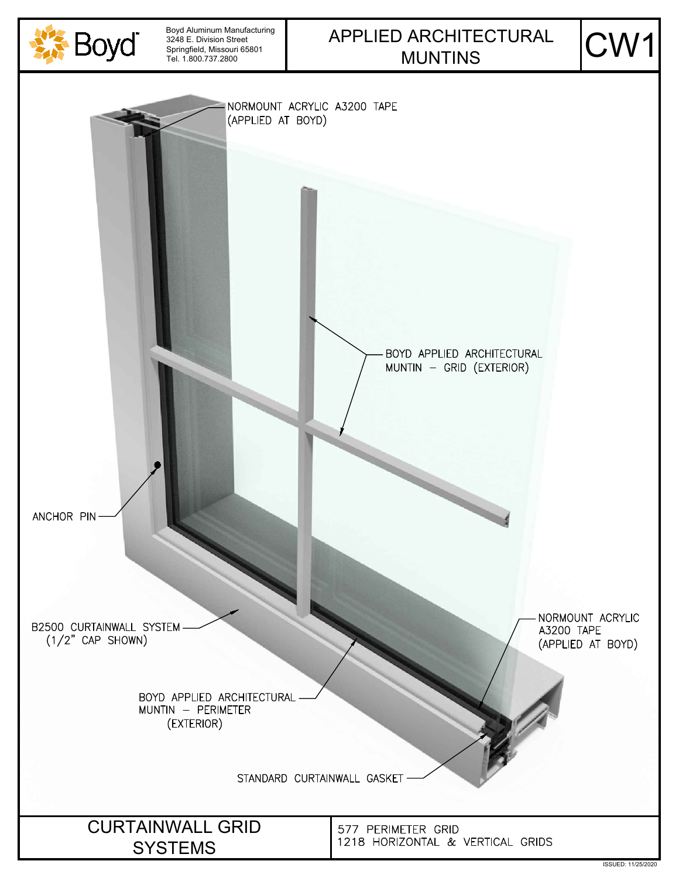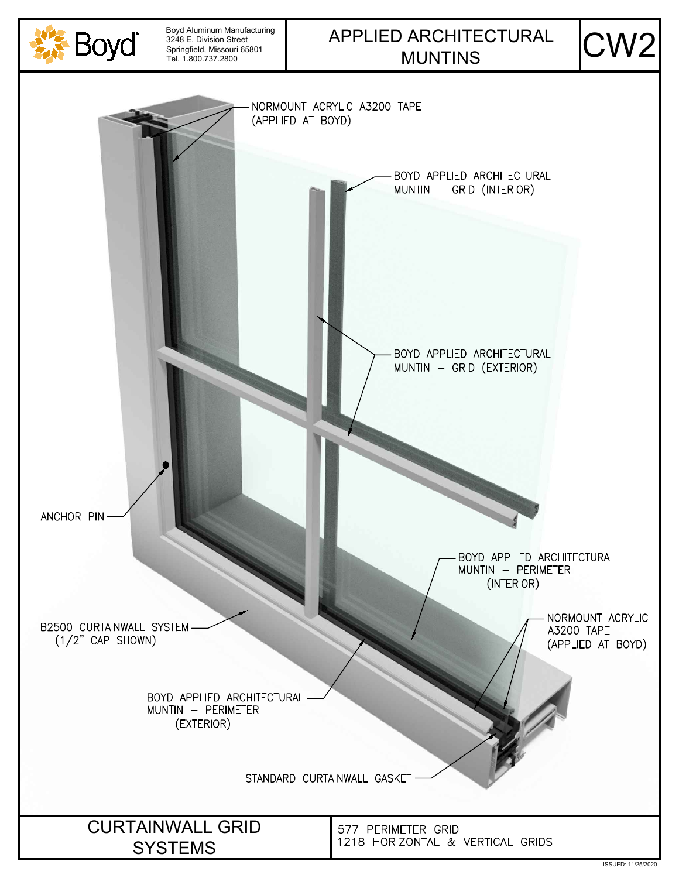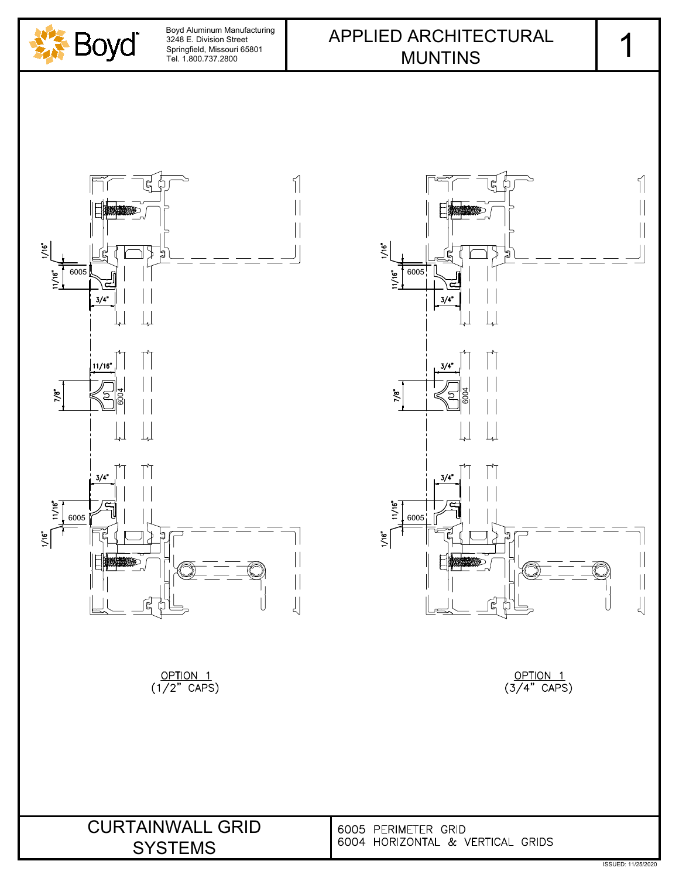

6005

c

 $3/4"$ 

 $3/4"$ 

 $1/16"$ 

 $1/16"$ 

 $11/16"$ 



OPTION<sub>1</sub>  $(1/2^r$  CAPS)  $\frac{OPTION 1}{(3/4" CAPS)}$ 

81 ||<br>81 ||

 $\mathbf{L}$ 

 $\lceil \rceil$ 

 $\lfloor \rfloor$ 

ผู

| <b>CURTAINWALL GRID</b> | 60 |
|-------------------------|----|
| <b>SYSTEMS</b>          | 60 |

 $\left| \right|$ 

 $\begin{array}{c} \hline \end{array}$ 

 $\mathbf{\mathbf{\mathsf{I}}}\mathbf{\mathsf{I}}$ 

 $\begin{array}{c} \hline \end{array}$ 

 $\mid \mid$ 

 $\bigcup$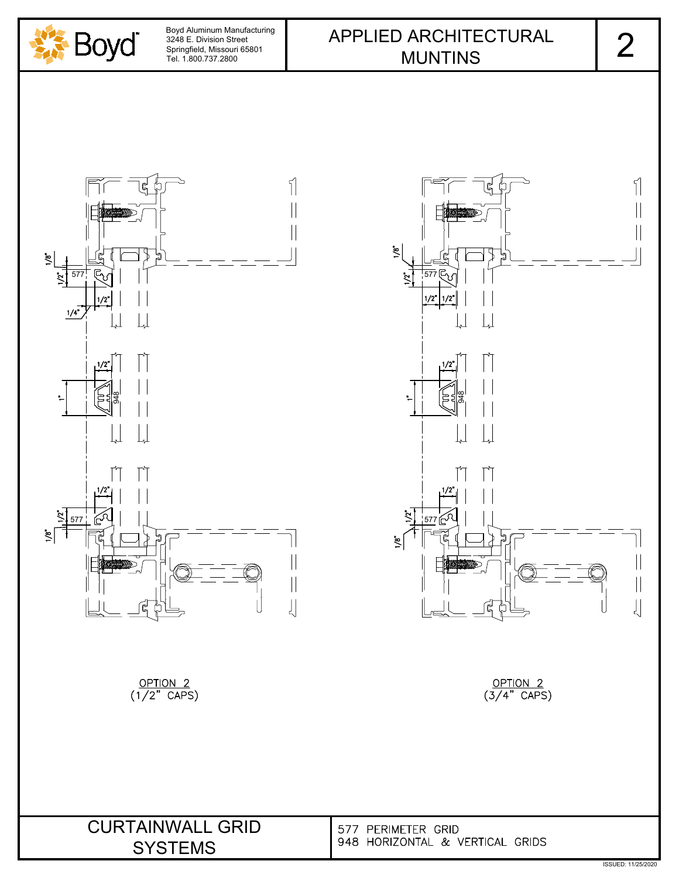





 $\begin{matrix} 1 \end{matrix}$  $\prod$  $\mathbb{Z}^n$ 57  $1/2"$  $1/2$  $1/2$ 577 [군식 ㅣ  $\mathcal{L}$  $\left|\right|$  $\begin{array}{c} \hline \end{array}$  $\left| \right|$ 

 $\frac{OPTION 2}{(3/4" CAPS)}$ 

CURTAINWALL GRID 577 PERIMETER GRID<br>
SVSTEMS
948 HORIZONTAL & VERTICAL GRIDS SYSTEMS

2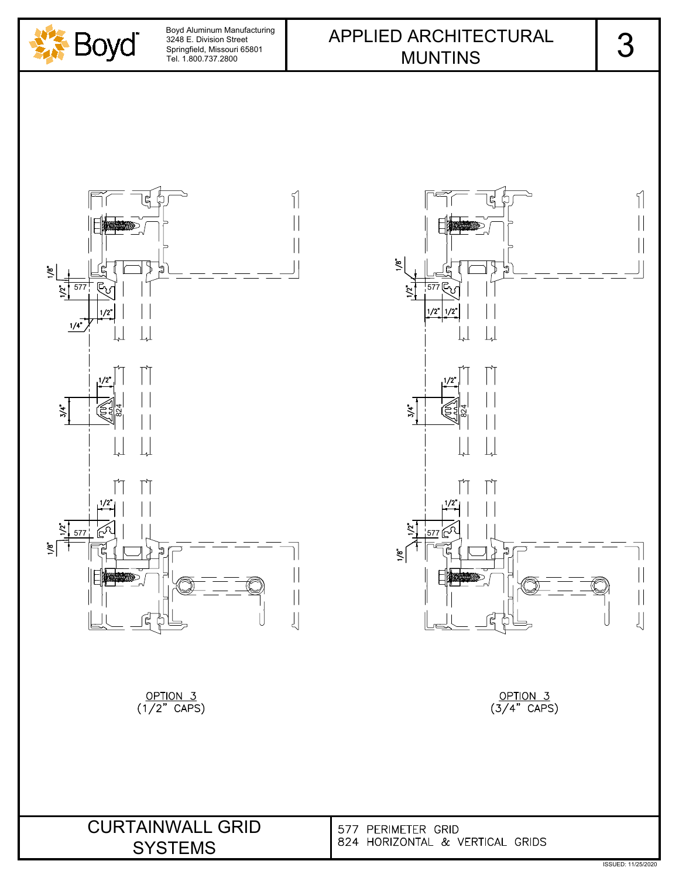





 $\frac{\text{OPTION 3}}{\text{(3/4" CAPS)}}$ 

SYSTEMS

 $\frac{OPTION 3}{(1/2" CAPS)}$ 

CURTAINWALL GRID 577 PERIMETER GRID<br>
SACTELLE 824 HORIZONTAL & VERTICAL GRIDS

3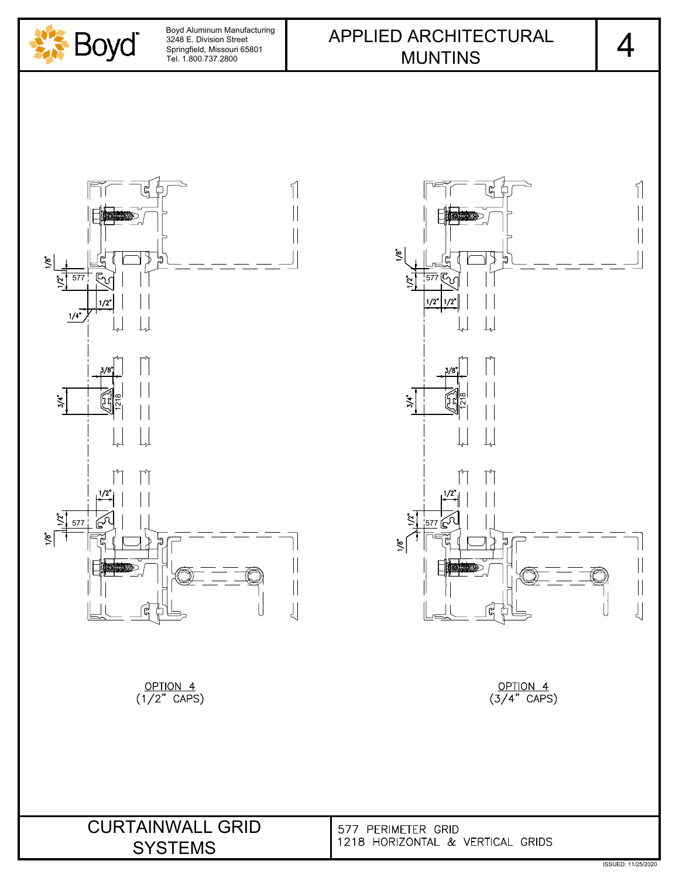





OPTION 4  $\overline{(3/4" CAPS)}$ 

CURTAINWALL GRID 577 PERIMETER GRID<br>
SVETENG 1218 HORIZONTAL & VERTICAL GRIDS SYSTEMS

4 |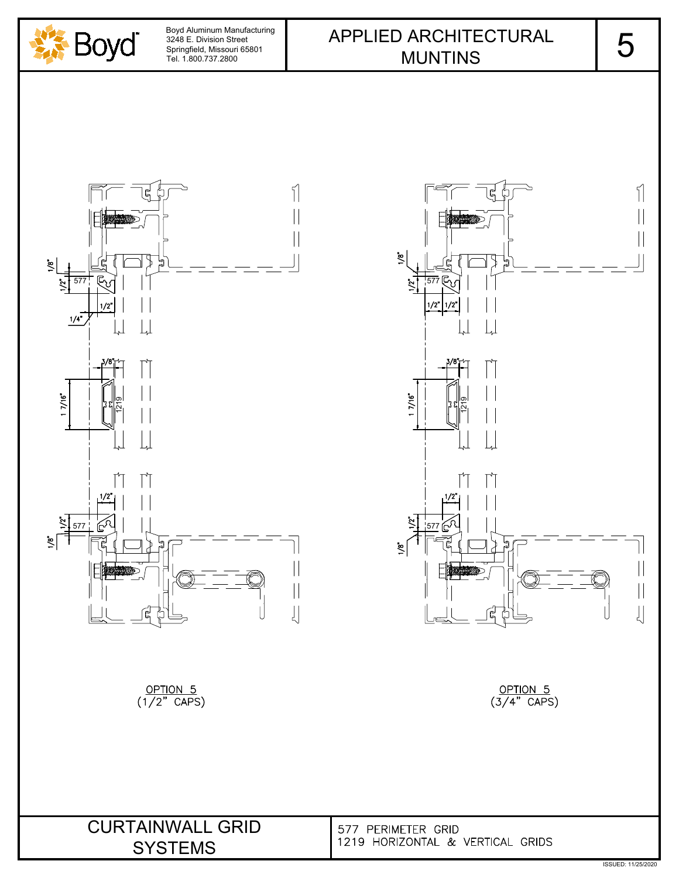





 $\frac{\text{OPTION} \quad 5}{(3/4" \quad \text{CAPS})}$ 

CURTAINWALL GRID 577 PERIMETER GRID<br>
SVETENG 1219 HORIZONTAL & VERTICAL GRIDS SYSTEMS

5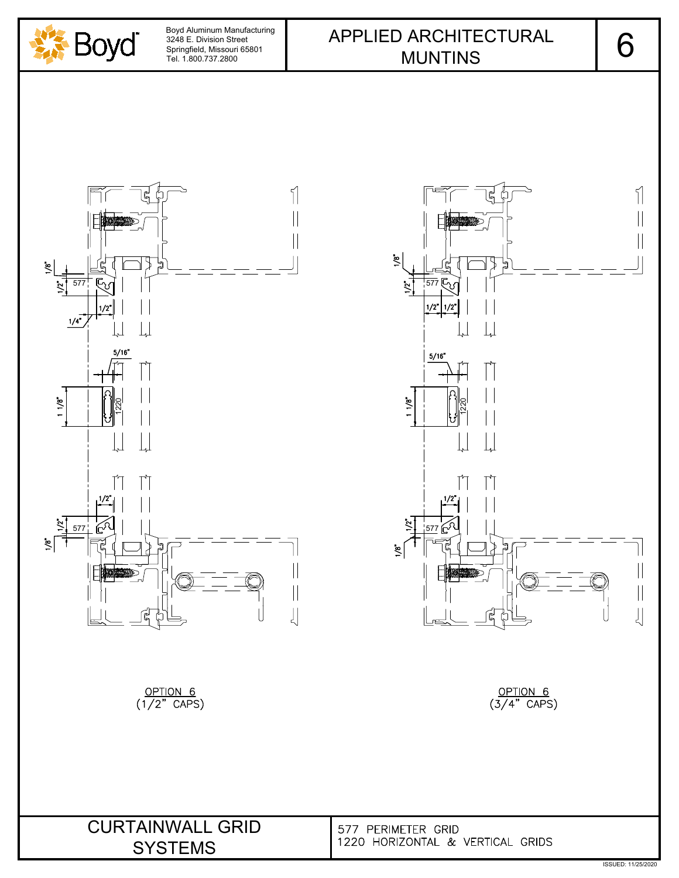

 $\tilde{s}$ 

เผ



 $\frac{\text{OPTION} \quad 6}{(1/2" \quad \text{CAPS})}$ 

577 다녀 ㅣ ë  $1/2$  $\begin{array}{c} \hline \end{array}$  $5/16"$ ें  $\leq$  $\left|\right|$  $\frac{1}{2}$ 

 $\frac{\text{OPTION} \quad 6}{(3/4" \quad \text{CAPS})}$ 

CURTAINWALL GRID 577 PERIMETER GRID<br>
SVETENS 1220 HORIZONTAL & VERTICAL GRIDS SYSTEMS

6

 $\sqrt{ }$ 

 $\begin{array}{c} \hline \end{array}$ 

 $\parallel$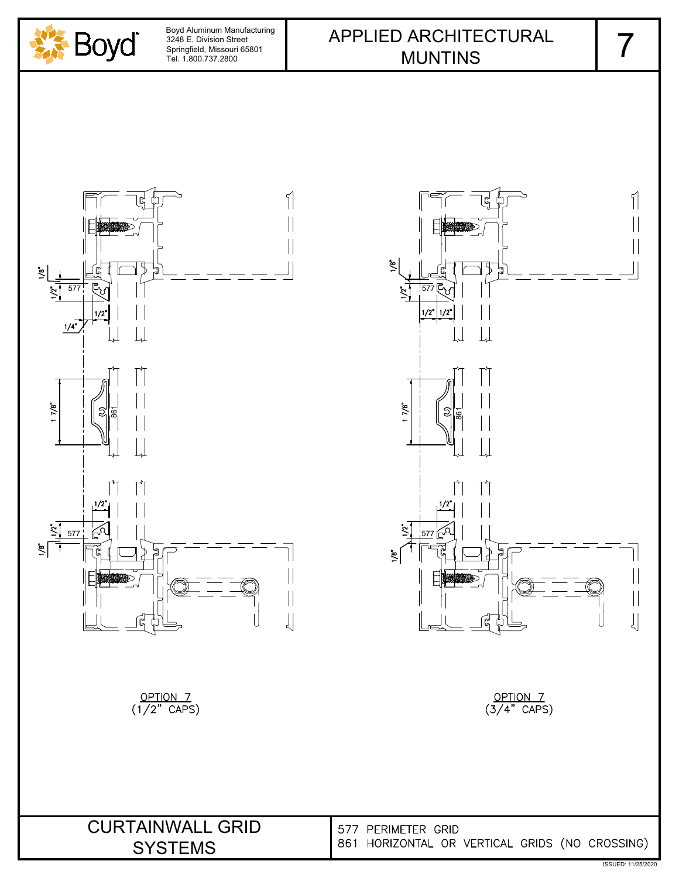

## APPLIED ARCHITECTURAL | 7 MUNTINS



 $\sqrt{ }$  $\left|\right|$  $\tilde{\mathbf{z}}$ 577년5세 |  $\overline{2}$  $\lfloor \rfloor$  $\overline{\phantom{a}}$  $\frac{1}{2}$  $\big\} \big\vert$  $\begin{array}{c} \hline \end{array}$  $\left\lfloor \right\rfloor$ 

OPTION 7<br>(3/4" CAPS)

SYSTEMS

CURTAINWALL GRID 577 PERIMETER GRID<br>SYSTEMS 861 HORIZONTAL OR VERTICAL GRIDS (NO CROSSING)

7